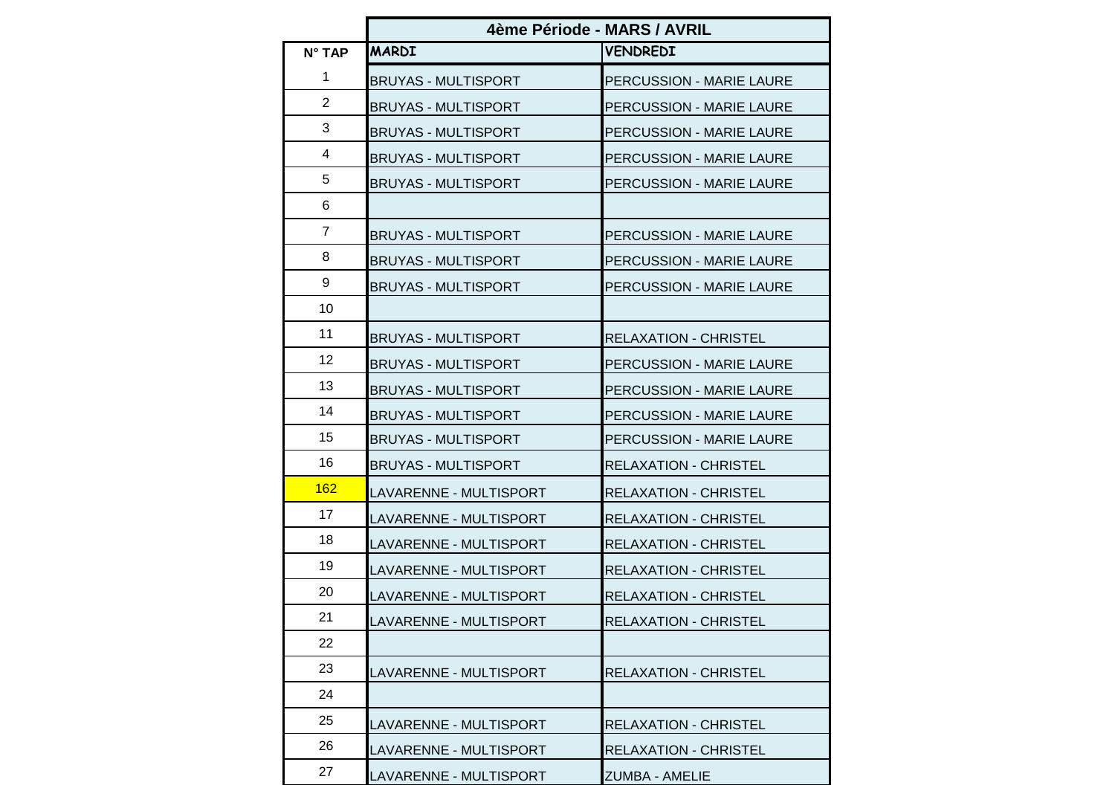|                 | 4ème Période - MARS / AVRIL |                                 |
|-----------------|-----------------------------|---------------------------------|
| $N^{\circ}$ TAP | <b>MARDI</b>                | <b>VENDREDI</b>                 |
| 1               | <b>BRUYAS - MULTISPORT</b>  | <b>PERCUSSION - MARIE LAURE</b> |
| $\overline{2}$  | <b>BRUYAS - MULTISPORT</b>  | PERCUSSION - MARIE LAURE        |
| 3               | BRUYAS - MULTISPORT         | PERCUSSION - MARIE LAURE        |
| 4               | <b>BRUYAS - MULTISPORT</b>  | PERCUSSION - MARIE LAURE        |
| 5               | <b>BRUYAS - MULTISPORT</b>  | <b>PERCUSSION - MARIE LAURE</b> |
| 6               |                             |                                 |
| $\overline{7}$  | <b>BRUYAS - MULTISPORT</b>  | <b>PERCUSSION - MARIE LAURE</b> |
| 8               | <b>BRUYAS - MULTISPORT</b>  | <b>PERCUSSION - MARIE LAURE</b> |
| 9               | BRUYAS - MULTISPORT         | <b>PERCUSSION - MARIE LAURE</b> |
| 10              |                             |                                 |
| 11              | <b>BRUYAS - MULTISPORT</b>  | <b>RELAXATION - CHRISTEL</b>    |
| 12              | <b>BRUYAS - MULTISPORT</b>  | <b>PERCUSSION - MARIE LAURE</b> |
| 13              | <b>BRUYAS - MULTISPORT</b>  | <b>PERCUSSION - MARIE LAURE</b> |
| 14              | <b>BRUYAS - MULTISPORT</b>  | <b>PERCUSSION - MARIE LAURE</b> |
| 15              | BRUYAS - MULTISPORT         | <b>PERCUSSION - MARIE LAURE</b> |
| 16              | <b>BRUYAS - MULTISPORT</b>  | <b>RELAXATION - CHRISTEL</b>    |
| 162             | LAVARENNE - MULTISPORT      | <b>RELAXATION - CHRISTEL</b>    |
| 17              | LAVARENNE - MULTISPORT      | <b>RELAXATION - CHRISTEL</b>    |
| 18              | LAVARENNE - MULTISPORT      | <b>RELAXATION - CHRISTEL</b>    |
| 19              | LAVARENNE - MULTISPORT      | <b>RELAXATION - CHRISTEL</b>    |
| 20              | LAVARENNE - MULTISPORT      | <b>RELAXATION - CHRISTEL</b>    |
| 21              | LAVARENNE - MULTISPORT      | <b>RELAXATION - CHRISTEL</b>    |
| 22              |                             |                                 |
| 23              | LAVARENNE - MULTISPORT      | <b>RELAXATION - CHRISTEL</b>    |
| 24              |                             |                                 |
| 25              | LAVARENNE - MULTISPORT      | <b>RELAXATION - CHRISTEL</b>    |
| 26              | LAVARENNE - MULTISPORT      | <b>RELAXATION - CHRISTEL</b>    |
| 27              | LAVARENNE - MULTISPORT      | <b>ZUMBA - AMELIE</b>           |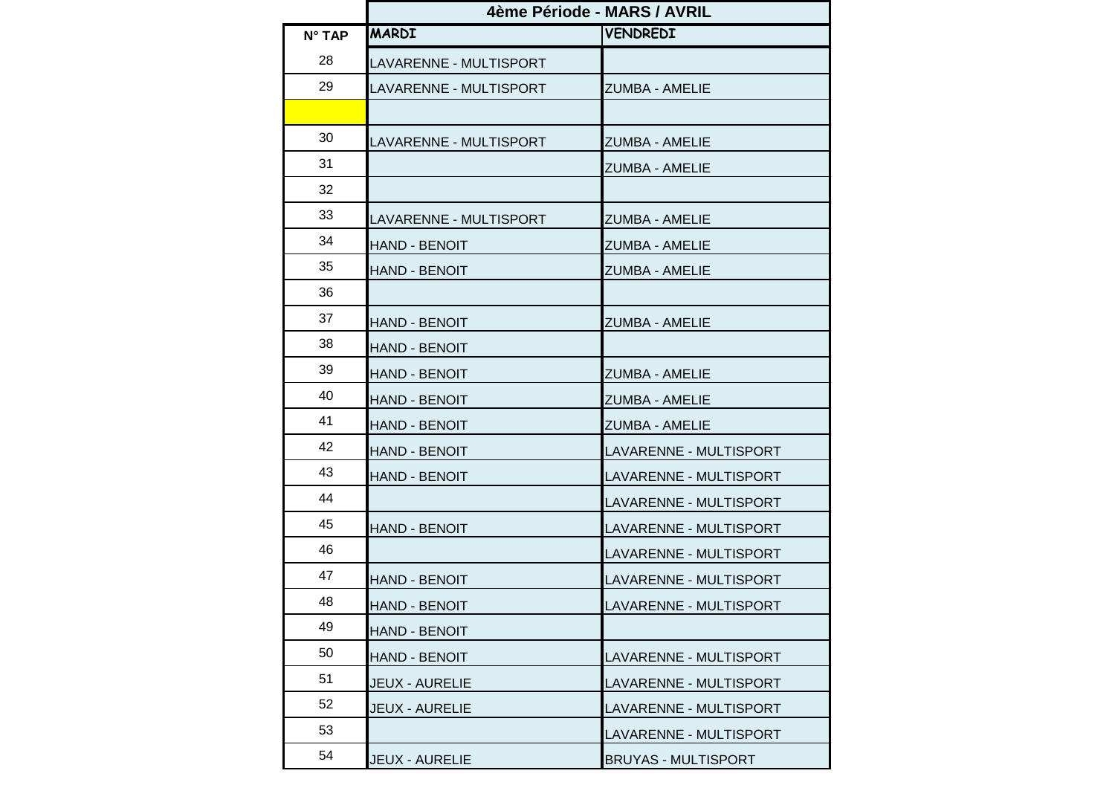|                 | 4ème Période - MARS / AVRIL |                            |
|-----------------|-----------------------------|----------------------------|
| $N^{\circ}$ TAP | <b>MARDI</b>                | <b>VENDREDI</b>            |
| 28              | LAVARENNE - MULTISPORT      |                            |
| 29              | LAVARENNE - MULTISPORT      | <b>ZUMBA - AMELIE</b>      |
|                 |                             |                            |
| 30              | LAVARENNE - MULTISPORT      | ZUMBA - AMELIE             |
| 31              |                             | <b>ZUMBA - AMELIE</b>      |
| 32              |                             |                            |
| 33              | LAVARENNE - MULTISPORT      | ZUMBA - AMELIE             |
| 34              | <b>HAND - BENOIT</b>        | <b>ZUMBA - AMELIE</b>      |
| 35              | <b>HAND - BENOIT</b>        | ZUMBA - AMELIE             |
| 36              |                             |                            |
| 37              | HAND - BENOIT               | <b>ZUMBA - AMELIE</b>      |
| 38              | <b>HAND - BENOIT</b>        |                            |
| 39              | <b>HAND - BENOIT</b>        | <b>ZUMBA - AMELIE</b>      |
| 40              | <b>HAND - BENOIT</b>        | ZUMBA - AMELIE             |
| 41              | HAND - BENOIT               | ZUMBA - AMELIE             |
| 42              | <b>HAND - BENOIT</b>        | LAVARENNE - MULTISPORT     |
| 43              | <b>HAND - BENOIT</b>        | LAVARENNE - MULTISPORT     |
| 44              |                             | LAVARENNE - MULTISPORT     |
| 45              | <b>HAND - BENOIT</b>        | LAVARENNE - MULTISPORT     |
| 46              |                             | LAVARENNE - MULTISPORT     |
| 47              | <b>HAND - BENOIT</b>        | LAVARENNE - MULTISPORT     |
| 48              | <b>HAND - BENOIT</b>        | LAVARENNE - MULTISPORT     |
| 49              | <b>HAND - BENOIT</b>        |                            |
| 50              | HAND - BENOIT               | LAVARENNE - MULTISPORT     |
| 51              | <b>JEUX - AURELIE</b>       | LAVARENNE - MULTISPORT     |
| 52              | <b>JEUX - AURELIE</b>       | LAVARENNE - MULTISPORT     |
| 53              |                             | LAVARENNE - MULTISPORT     |
| 54              | <b>JEUX - AURELIE</b>       | <b>BRUYAS - MULTISPORT</b> |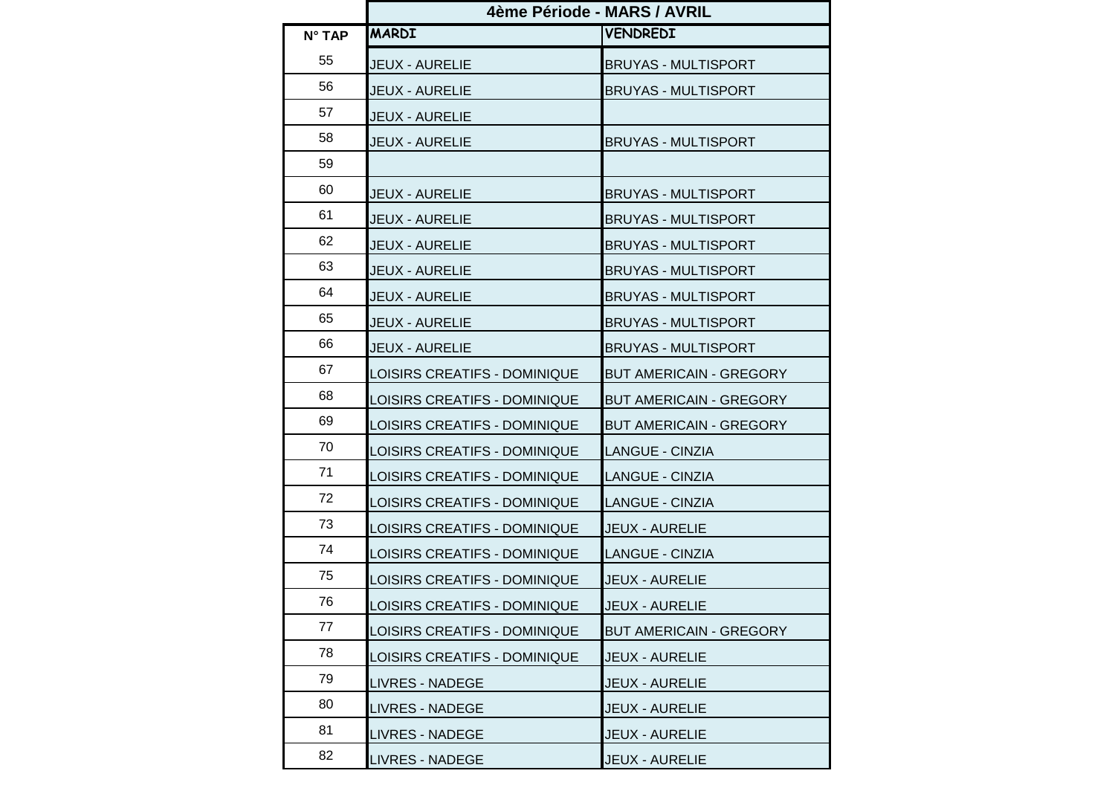|        | 4ème Période - MARS / AVRIL         |                                |
|--------|-------------------------------------|--------------------------------|
| N° TAP | <b>MARDI</b>                        | <b>VENDREDI</b>                |
| 55     | JEUX - AURELIE                      | <b>BRUYAS - MULTISPORT</b>     |
| 56     | JEUX - AURELIE                      | <b>BRUYAS - MULTISPORT</b>     |
| 57     | JEUX - AURELIE                      |                                |
| 58     | <b>JEUX - AURELIE</b>               | <b>BRUYAS - MULTISPORT</b>     |
| 59     |                                     |                                |
| 60     | JEUX - AURELIE                      | <b>BRUYAS - MULTISPORT</b>     |
| 61     | JEUX - AURELIE                      | <b>BRUYAS - MULTISPORT</b>     |
| 62     | JEUX - AURELIE                      | <b>BRUYAS - MULTISPORT</b>     |
| 63     | JEUX - AURELIE                      | <b>BRUYAS - MULTISPORT</b>     |
| 64     | JEUX - AURELIE                      | <b>BRUYAS - MULTISPORT</b>     |
| 65     | JEUX - AURELIE                      | <b>BRUYAS - MULTISPORT</b>     |
| 66     | <b>JEUX - AURELIE</b>               | <b>BRUYAS - MULTISPORT</b>     |
| 67     | LOISIRS CREATIFS - DOMINIQUE        | <b>BUT AMERICAIN - GREGORY</b> |
| 68     | LOISIRS CREATIFS - DOMINIQUE        | <b>BUT AMERICAIN - GREGORY</b> |
| 69     | LOISIRS CREATIFS - DOMINIQUE        | <b>BUT AMERICAIN - GREGORY</b> |
| 70     | LOISIRS CREATIFS - DOMINIQUE        | LANGUE - CINZIA                |
| 71     | LOISIRS CREATIFS - DOMINIQUE        | LANGUE - CINZIA                |
| 72     | LOISIRS CREATIFS - DOMINIQUE        | LANGUE - CINZIA                |
| 73     | LOISIRS CREATIFS - DOMINIQUE        | <b>JEUX - AURELIE</b>          |
| 74     | LOISIRS CREATIFS - DOMINIQUE        | LANGUE - CINZIA                |
| 75     | LOISIRS CREATIFS - DOMINIQUE        | <b>JEUX - AURELIE</b>          |
| 76     | <b>LOISIRS CREATIFS - DOMINIQUE</b> | <b>JEUX - AURELIE</b>          |
| 77     | LOISIRS CREATIFS - DOMINIQUE        | <b>BUT AMERICAIN - GREGORY</b> |
| 78     | LOISIRS CREATIFS - DOMINIQUE        | <b>JEUX - AURELIE</b>          |
| 79     | <b>LIVRES - NADEGE</b>              | <b>JEUX - AURELIE</b>          |
| 80     | <b>LIVRES - NADEGE</b>              | <b>JEUX - AURELIE</b>          |
| 81     | <b>LIVRES - NADEGE</b>              | <b>JEUX - AURELIE</b>          |
| 82     | <b>LIVRES - NADEGE</b>              | <b>JEUX - AURELIE</b>          |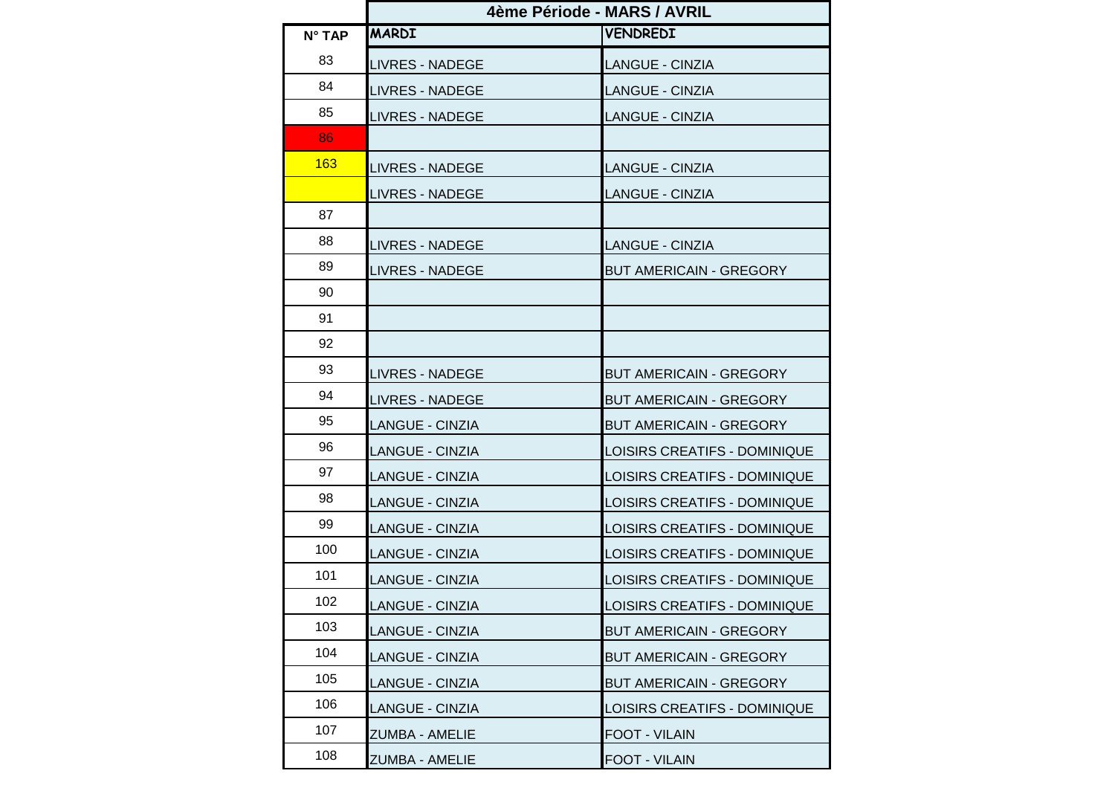|                 | 4ème Période - MARS / AVRIL |                                |
|-----------------|-----------------------------|--------------------------------|
| $N^{\circ}$ TAP | <b>MARDI</b>                | <b>VENDREDI</b>                |
| 83              | <b>LIVRES - NADEGE</b>      | <b>LANGUE - CINZIA</b>         |
| 84              | <b>LIVRES - NADEGE</b>      | <b>LANGUE - CINZIA</b>         |
| 85              | <b>LIVRES - NADEGE</b>      | <b>LANGUE - CINZIA</b>         |
| 86              |                             |                                |
| 163             | <b>LIVRES - NADEGE</b>      | <b>LANGUE - CINZIA</b>         |
|                 | <b>LIVRES - NADEGE</b>      | <b>LANGUE - CINZIA</b>         |
| 87              |                             |                                |
| 88              | <b>LIVRES - NADEGE</b>      | <b>LANGUE - CINZIA</b>         |
| 89              | <b>LIVRES - NADEGE</b>      | <b>BUT AMERICAIN - GREGORY</b> |
| 90              |                             |                                |
| 91              |                             |                                |
| 92              |                             |                                |
| 93              | <b>LIVRES - NADEGE</b>      | <b>BUT AMERICAIN - GREGORY</b> |
| 94              | <b>LIVRES - NADEGE</b>      | <b>BUT AMERICAIN - GREGORY</b> |
| 95              | LANGUE - CINZIA             | BUT AMERICAIN - GREGORY        |
| 96              | <b>LANGUE - CINZIA</b>      | LOISIRS CREATIFS - DOMINIQUE   |
| 97              | <b>LANGUE - CINZIA</b>      | LOISIRS CREATIFS - DOMINIQUE   |
| 98              | <b>LANGUE - CINZIA</b>      | LOISIRS CREATIFS - DOMINIQUE   |
| 99              | <b>LANGUE - CINZIA</b>      | LOISIRS CREATIFS - DOMINIQUE   |
| 100             | <b>LANGUE - CINZIA</b>      | LOISIRS CREATIFS - DOMINIQUE   |
| 101             | <b>LANGUE - CINZIA</b>      | LOISIRS CREATIFS - DOMINIQUE   |
| 102             | <b>LANGUE - CINZIA</b>      | LOISIRS CREATIFS - DOMINIQUE   |
| 103             | <b>LANGUE - CINZIA</b>      | <b>BUT AMERICAIN - GREGORY</b> |
| 104             | <b>LANGUE - CINZIA</b>      | <b>BUT AMERICAIN - GREGORY</b> |
| 105             | <b>LANGUE - CINZIA</b>      | <b>BUT AMERICAIN - GREGORY</b> |
| 106             | <b>LANGUE - CINZIA</b>      | LOISIRS CREATIFS - DOMINIQUE   |
| 107             | ZUMBA - AMELIE              | FOOT - VILAIN                  |
| 108             | ZUMBA - AMELIE              | <b>FOOT - VILAIN</b>           |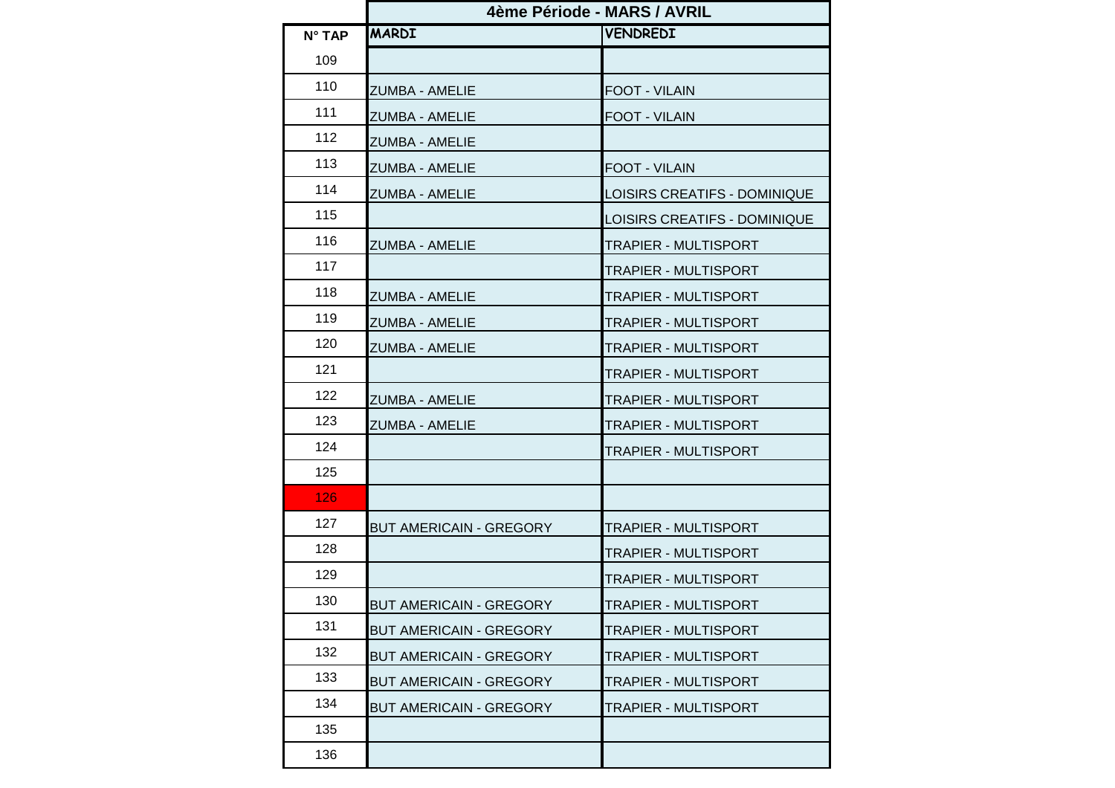|                 | 4ème Période - MARS / AVRIL    |                              |
|-----------------|--------------------------------|------------------------------|
| $N^{\circ}$ TAP | <b>MARDI</b>                   | <b>VENDREDI</b>              |
| 109             |                                |                              |
| 110             | ZUMBA - AMELIE                 | <b>FOOT - VILAIN</b>         |
| 111             | ZUMBA - AMELIE                 | <b>FOOT - VILAIN</b>         |
| 112             | ZUMBA - AMELIE                 |                              |
| 113             | <b>ZUMBA - AMELIE</b>          | <b>FOOT - VILAIN</b>         |
| 114             | ZUMBA - AMELIE                 | LOISIRS CREATIFS - DOMINIQUE |
| 115             |                                | LOISIRS CREATIFS - DOMINIQUE |
| 116             | <b>ZUMBA - AMELIE</b>          | TRAPIER - MULTISPORT         |
| 117             |                                | TRAPIER - MULTISPORT         |
| 118             | <b>ZUMBA - AMELIE</b>          | TRAPIER - MULTISPORT         |
| 119             | ZUMBA - AMELIE                 | TRAPIER - MULTISPORT         |
| 120             | <b>ZUMBA - AMELIE</b>          | TRAPIER - MULTISPORT         |
| 121             |                                | TRAPIER - MULTISPORT         |
| 122             | ZUMBA - AMELIE                 | TRAPIER - MULTISPORT         |
| 123             | ZUMBA - AMELIE                 | TRAPIER - MULTISPORT         |
| 124             |                                | TRAPIER - MULTISPORT         |
| 125             |                                |                              |
| 126             |                                |                              |
| 127             | <b>BUT AMERICAIN - GREGORY</b> | TRAPIER - MULTISPORT         |
| 128             |                                | TRAPIER - MULTISPORT         |
| 129             |                                | TRAPIER - MULTISPORT         |
| 130             | <b>BUT AMERICAIN - GREGORY</b> | TRAPIER - MULTISPORT         |
| 131             | <b>BUT AMERICAIN - GREGORY</b> | TRAPIER - MULTISPORT         |
| 132             | <b>BUT AMERICAIN - GREGORY</b> | TRAPIER - MULTISPORT         |
| 133             | <b>BUT AMERICAIN - GREGORY</b> | TRAPIER - MULTISPORT         |
| 134             | <b>BUT AMERICAIN - GREGORY</b> | TRAPIER - MULTISPORT         |
| 135             |                                |                              |
| 136             |                                |                              |